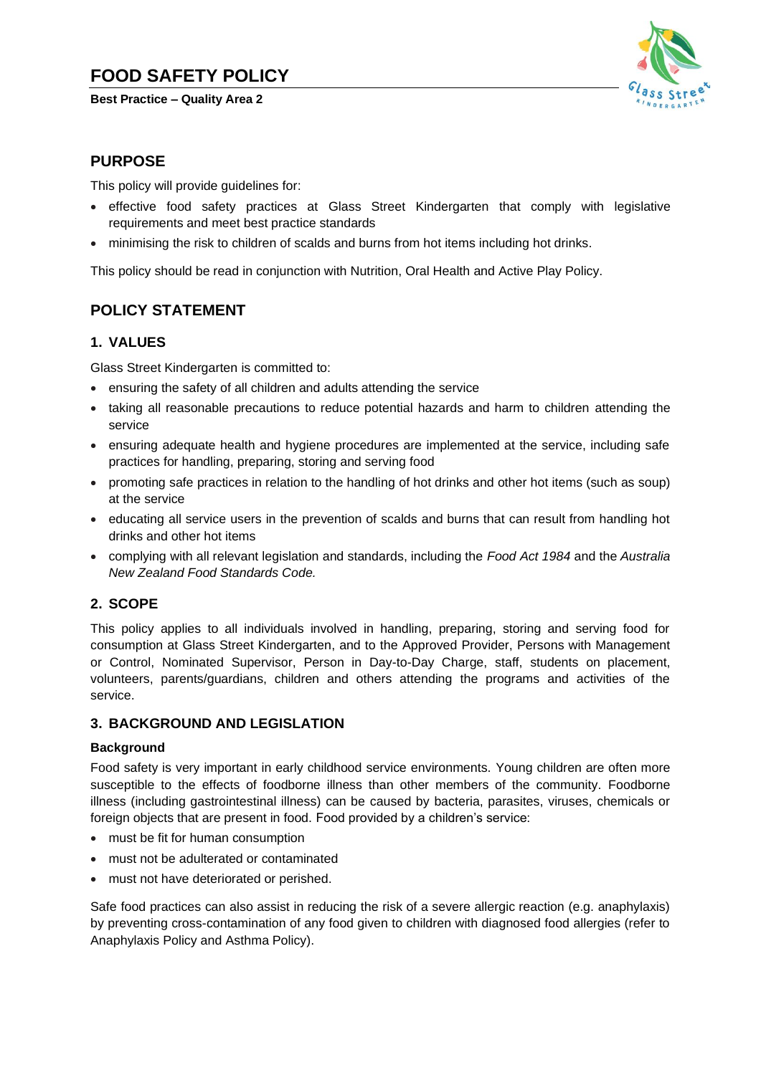# **FOOD SAFETY POLICY**

**Best Practice – Quality Area 2**



## **PURPOSE**

This policy will provide guidelines for:

- effective food safety practices at Glass Street Kindergarten that comply with legislative requirements and meet best practice standards
- minimising the risk to children of scalds and burns from hot items including hot drinks.

This policy should be read in conjunction with Nutrition, Oral Health and Active Play Policy.

## **POLICY STATEMENT**

## **1. VALUES**

Glass Street Kindergarten is committed to:

- ensuring the safety of all children and adults attending the service
- taking all reasonable precautions to reduce potential hazards and harm to children attending the service
- ensuring adequate health and hygiene procedures are implemented at the service, including safe practices for handling, preparing, storing and serving food
- promoting safe practices in relation to the handling of hot drinks and other hot items (such as soup) at the service
- educating all service users in the prevention of scalds and burns that can result from handling hot drinks and other hot items
- complying with all relevant legislation and standards, including the *Food Act 1984* and the *Australia New Zealand Food Standards Code.*

## **2. SCOPE**

This policy applies to all individuals involved in handling, preparing, storing and serving food for consumption at Glass Street Kindergarten, and to the Approved Provider, Persons with Management or Control, Nominated Supervisor, Person in Day-to-Day Charge, staff, students on placement, volunteers, parents/guardians, children and others attending the programs and activities of the service.

## **3. BACKGROUND AND LEGISLATION**

#### **Background**

Food safety is very important in early childhood service environments. Young children are often more susceptible to the effects of foodborne illness than other members of the community. Foodborne illness (including gastrointestinal illness) can be caused by bacteria, parasites, viruses, chemicals or foreign objects that are present in food. Food provided by a children's service:

- must be fit for human consumption
- must not be adulterated or contaminated
- must not have deteriorated or perished.

Safe food practices can also assist in reducing the risk of a severe allergic reaction (e.g. anaphylaxis) by preventing cross-contamination of any food given to children with diagnosed food allergies (refer to Anaphylaxis Policy and Asthma Policy).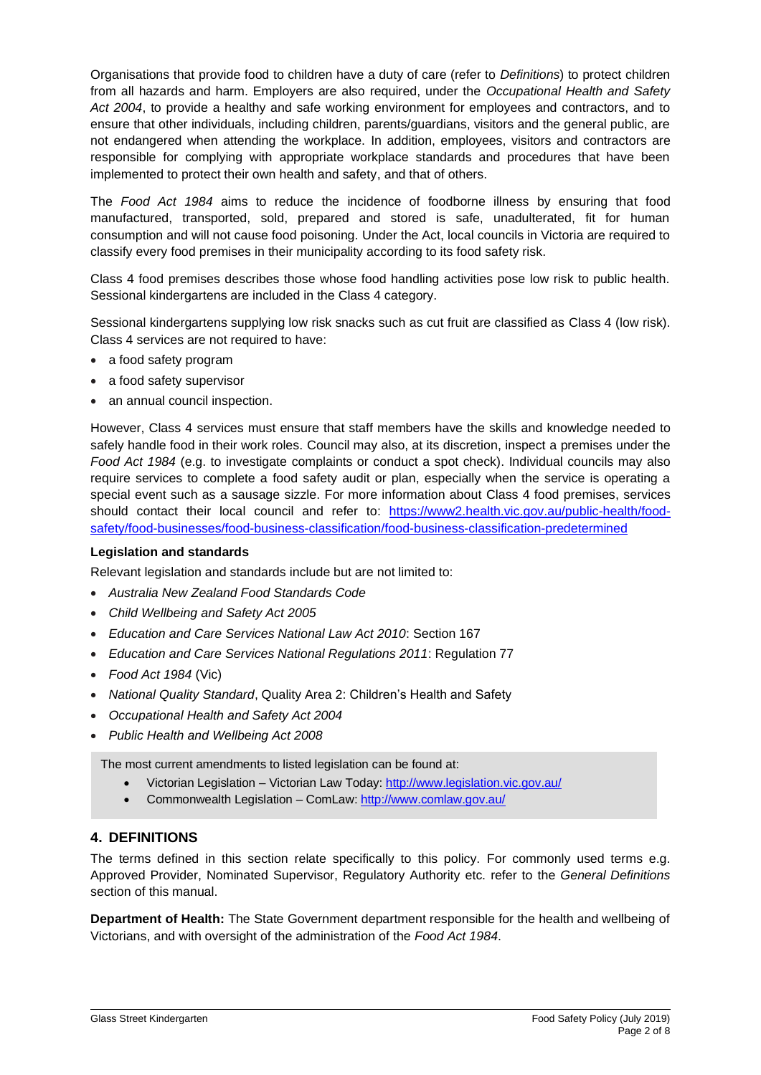Organisations that provide food to children have a duty of care (refer to *Definitions*) to protect children from all hazards and harm. Employers are also required, under the *Occupational Health and Safety Act 2004*, to provide a healthy and safe working environment for employees and contractors, and to ensure that other individuals, including children, parents/guardians, visitors and the general public, are not endangered when attending the workplace. In addition, employees, visitors and contractors are responsible for complying with appropriate workplace standards and procedures that have been implemented to protect their own health and safety, and that of others.

The *Food Act 1984* aims to reduce the incidence of foodborne illness by ensuring that food manufactured, transported, sold, prepared and stored is safe, unadulterated, fit for human consumption and will not cause food poisoning. Under the Act, local councils in Victoria are required to classify every food premises in their municipality according to its food safety risk.

Class 4 food premises describes those whose food handling activities pose low risk to public health. Sessional kindergartens are included in the Class 4 category.

Sessional kindergartens supplying low risk snacks such as cut fruit are classified as Class 4 (low risk). Class 4 services are not required to have:

- a food safety program
- a food safety supervisor
- an annual council inspection.

However, Class 4 services must ensure that staff members have the skills and knowledge needed to safely handle food in their work roles. Council may also, at its discretion, inspect a premises under the *Food Act 1984* (e.g. to investigate complaints or conduct a spot check). Individual councils may also require services to complete a food safety audit or plan, especially when the service is operating a special event such as a sausage sizzle. For more information about Class 4 food premises, services should contact their local council and refer to: [https://www2.health.vic.gov.au/public-health/food](https://www2.health.vic.gov.au/public-health/food-safety/food-businesses/food-business-classification/food-business-classification-predetermined)[safety/food-businesses/food-business-classification/food-business-classification-predetermined](https://www2.health.vic.gov.au/public-health/food-safety/food-businesses/food-business-classification/food-business-classification-predetermined)

#### **Legislation and standards**

Relevant legislation and standards include but are not limited to:

- *Australia New Zealand Food Standards Code*
- *Child Wellbeing and Safety Act 2005*
- *Education and Care Services National Law Act 2010*: Section 167
- *Education and Care Services National Regulations 2011*: Regulation 77
- *Food Act 1984* (Vic)
- *National Quality Standard*, Quality Area 2: Children's Health and Safety
- *Occupational Health and Safety Act 2004*
- *Public Health and Wellbeing Act 2008*

The most current amendments to listed legislation can be found at:

- Victorian Legislation Victorian Law Today:<http://www.legislation.vic.gov.au/>
- Commonwealth Legislation ComLaw:<http://www.comlaw.gov.au/>

## **4. DEFINITIONS**

The terms defined in this section relate specifically to this policy. For commonly used terms e.g. Approved Provider, Nominated Supervisor, Regulatory Authority etc. refer to the *General Definitions* section of this manual.

**Department of Health:** The State Government department responsible for the health and wellbeing of Victorians, and with oversight of the administration of the *Food Act 1984*.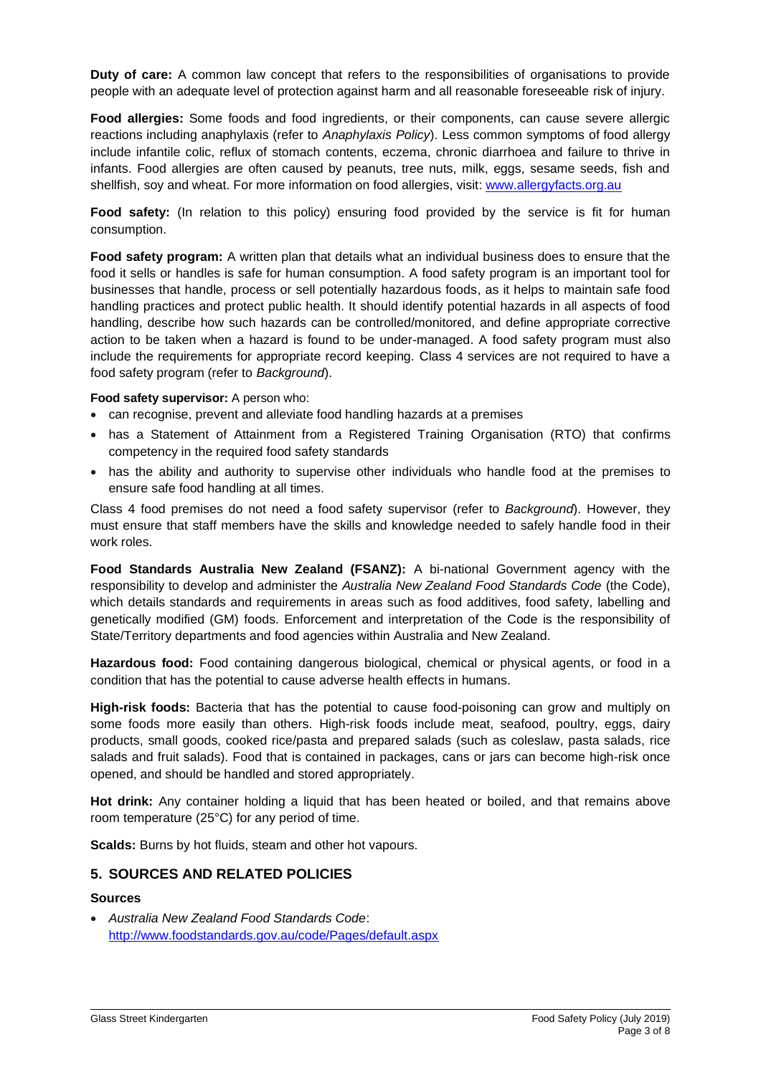**Duty of care:** A common law concept that refers to the responsibilities of organisations to provide people with an adequate level of protection against harm and all reasonable foreseeable risk of injury.

**Food allergies:** Some foods and food ingredients, or their components, can cause severe allergic reactions including anaphylaxis (refer to *Anaphylaxis Policy*). Less common symptoms of food allergy include infantile colic, reflux of stomach contents, eczema, chronic diarrhoea and failure to thrive in infants. Food allergies are often caused by peanuts, tree nuts, milk, eggs, sesame seeds, fish and shellfish, soy and wheat. For more information on food allergies, visit: [www.allergyfacts.org.au](http://www.allergyfacts.org.au/)

Food safety: (In relation to this policy) ensuring food provided by the service is fit for human consumption.

**Food safety program:** A written plan that details what an individual business does to ensure that the food it sells or handles is safe for human consumption. A food safety program is an important tool for businesses that handle, process or sell potentially hazardous foods, as it helps to maintain safe food handling practices and protect public health. It should identify potential hazards in all aspects of food handling, describe how such hazards can be controlled/monitored, and define appropriate corrective action to be taken when a hazard is found to be under-managed. A food safety program must also include the requirements for appropriate record keeping. Class 4 services are not required to have a food safety program (refer to *Background*).

#### **Food safety supervisor:** A person who:

- can recognise, prevent and alleviate food handling hazards at a premises
- has a Statement of Attainment from a Registered Training Organisation (RTO) that confirms competency in the required food safety standards
- has the ability and authority to supervise other individuals who handle food at the premises to ensure safe food handling at all times.

Class 4 food premises do not need a food safety supervisor (refer to *Background*). However, they must ensure that staff members have the skills and knowledge needed to safely handle food in their work roles.

**Food Standards Australia New Zealand (FSANZ):** A bi-national Government agency with the responsibility to develop and administer the *Australia New Zealand Food Standards Code* (the Code), which details standards and requirements in areas such as food additives, food safety, labelling and genetically modified (GM) foods. Enforcement and interpretation of the Code is the responsibility of State/Territory departments and food agencies within Australia and New Zealand.

**Hazardous food:** Food containing dangerous biological, chemical or physical agents, or food in a condition that has the potential to cause adverse health effects in humans.

**High-risk foods:** Bacteria that has the potential to cause food-poisoning can grow and multiply on some foods more easily than others. High-risk foods include meat, seafood, poultry, eggs, dairy products, small goods, cooked rice/pasta and prepared salads (such as coleslaw, pasta salads, rice salads and fruit salads). Food that is contained in packages, cans or jars can become high-risk once opened, and should be handled and stored appropriately.

**Hot drink:** Any container holding a liquid that has been heated or boiled, and that remains above room temperature (25°C) for any period of time.

**Scalds:** Burns by hot fluids, steam and other hot vapours.

### **5. SOURCES AND RELATED POLICIES**

#### **Sources**

• *Australia New Zealand Food Standards Code*: <http://www.foodstandards.gov.au/code/Pages/default.aspx>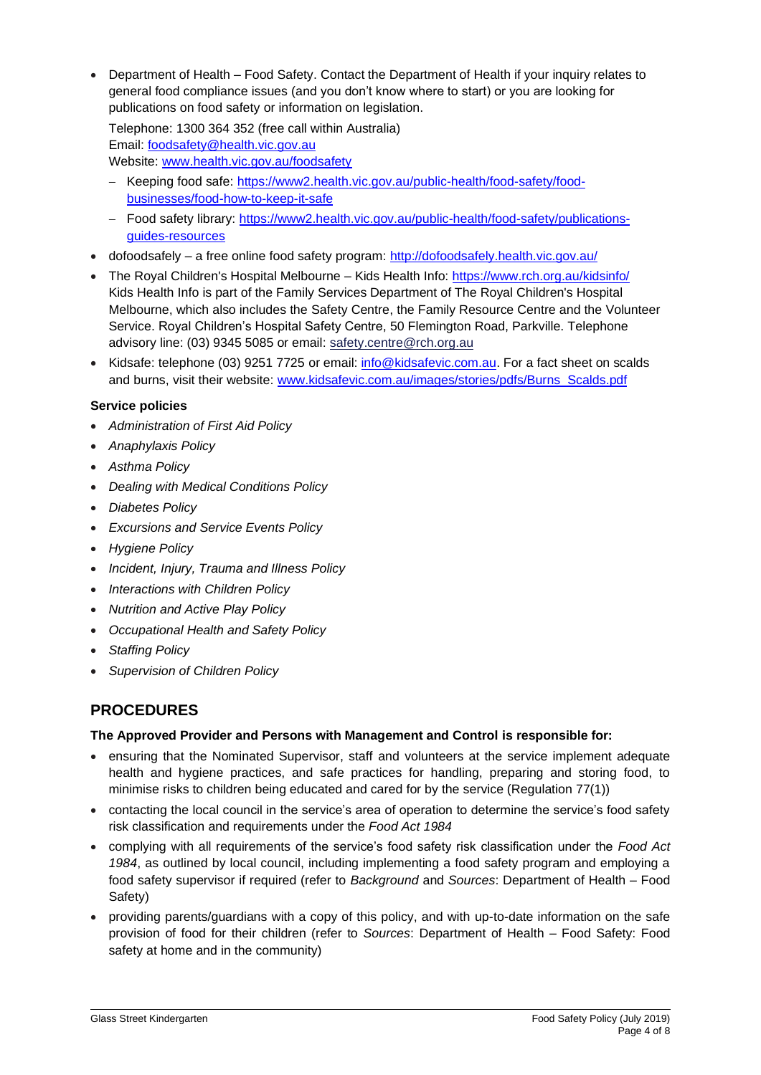• Department of Health – Food Safety. Contact the Department of Health if your inquiry relates to general food compliance issues (and you don't know where to start) or you are looking for publications on food safety or information on legislation.

Telephone: 1300 364 352 (free call within Australia) Email: [foodsafety@health.vic.gov.au](mailto:foodsafety@health.vic.gov.au) Website: [www.health.vic.gov.au/foodsafety](http://www.health.vic.gov.au/foodsafety)

- − Keeping food safe: [https://www2.health.vic.gov.au/public-health/food-safety/food](https://www2.health.vic.gov.au/public-health/food-safety/food-businesses/food-how-to-keep-it-safe)[businesses/food-how-to-keep-it-safe](https://www2.health.vic.gov.au/public-health/food-safety/food-businesses/food-how-to-keep-it-safe)
- − Food safety library: [https://www2.health.vic.gov.au/public-health/food-safety/publications](https://www2.health.vic.gov.au/public-health/food-safety/publications-guides-resources)[guides-resources](https://www2.health.vic.gov.au/public-health/food-safety/publications-guides-resources)
- dofoodsafely a free online food safety program:<http://dofoodsafely.health.vic.gov.au/>
- The Royal Children's Hospital Melbourne Kids Health Info:<https://www.rch.org.au/kidsinfo/> Kids Health Info is part of the Family Services Department of The Royal Children's Hospital Melbourne, which also includes the [Safety Centre,](http://www.rch.org.au/safetycentre/) the [Family Resource Centre](http://www.rch.org.au/frc/) and th[e Volunteer](http://www.rch.org.au/volunteers/)  [Service.](http://www.rch.org.au/volunteers/) Royal Children's Hospital Safety Centre, 50 Flemington Road, Parkville. Telephone advisory line: (03) 9345 5085 or email: [safety.centre@rch.org.au](mailto:safety.centre@rch.org.au)
- Kidsafe: telephone (03) 9251 7725 or email: [info@kidsafevic.com.au.](mailto:info@kidsafevic.com.au) For a fact sheet on scalds and burns, visit their website: [www.kidsafevic.com.au/images/stories/pdfs/Burns\\_Scalds.pdf](http://www.kidsafevic.com.au/images/stories/pdfs/Burns_Scalds.pdf)

## **Service policies**

- *Administration of First Aid Policy*
- *Anaphylaxis Policy*
- *Asthma Policy*
- *Dealing with Medical Conditions Policy*
- *Diabetes Policy*
- *Excursions and Service Events Policy*
- *Hygiene Policy*
- *Incident, Injury, Trauma and Illness Policy*
- *Interactions with Children Policy*
- *Nutrition and Active Play Policy*
- *Occupational Health and Safety Policy*
- *Staffing Policy*
- *Supervision of Children Policy*

## **PROCEDURES**

## **The Approved Provider and Persons with Management and Control is responsible for:**

- ensuring that the Nominated Supervisor, staff and volunteers at the service implement adequate health and hygiene practices, and safe practices for handling, preparing and storing food, to minimise risks to children being educated and cared for by the service (Regulation 77(1))
- contacting the local council in the service's area of operation to determine the service's food safety risk classification and requirements under the *Food Act 1984*
- complying with all requirements of the service's food safety risk classification under the *Food Act 1984*, as outlined by local council, including implementing a food safety program and employing a food safety supervisor if required (refer to *Background* and *Sources*: Department of Health – Food Safety)
- providing parents/guardians with a copy of this policy, and with up-to-date information on the safe provision of food for their children (refer to *Sources*: Department of Health – Food Safety: Food safety at home and in the community)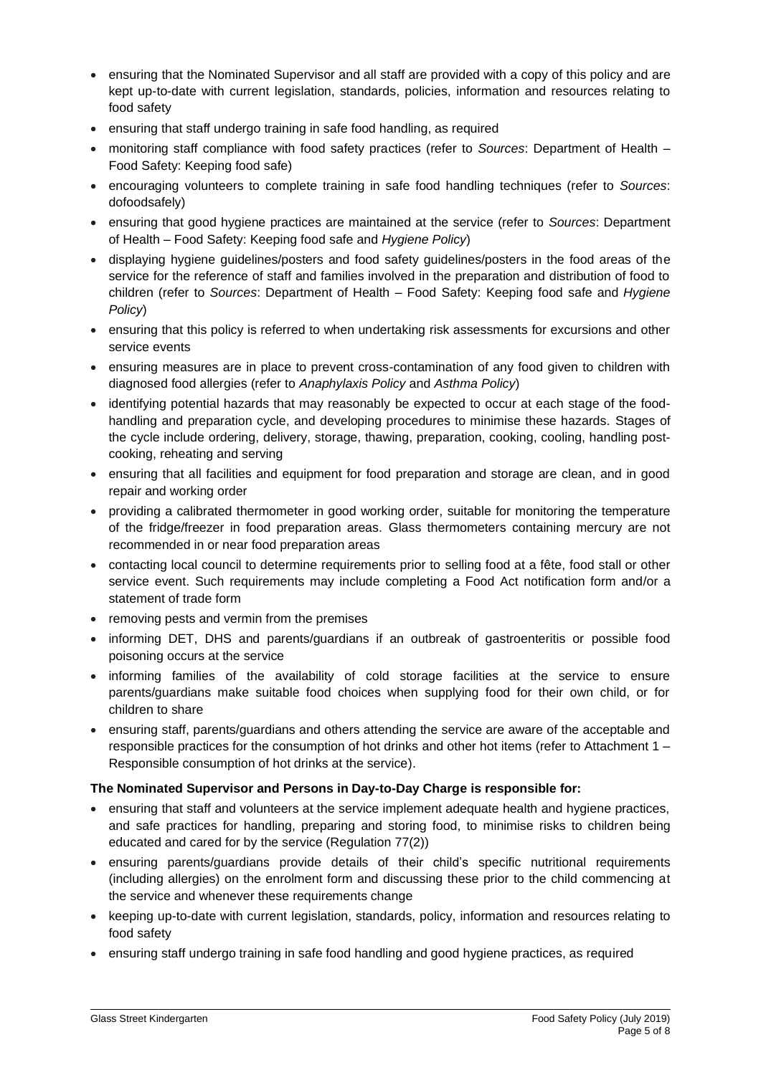- ensuring that the Nominated Supervisor and all staff are provided with a copy of this policy and are kept up-to-date with current legislation, standards, policies, information and resources relating to food safety
- ensuring that staff undergo training in safe food handling, as required
- monitoring staff compliance with food safety practices (refer to *Sources*: Department of Health Food Safety: Keeping food safe)
- encouraging volunteers to complete training in safe food handling techniques (refer to *Sources*: dofoodsafely)
- ensuring that good hygiene practices are maintained at the service (refer to *Sources*: Department of Health – Food Safety: Keeping food safe and *Hygiene Policy*)
- displaying hygiene guidelines/posters and food safety guidelines/posters in the food areas of the service for the reference of staff and families involved in the preparation and distribution of food to children (refer to *Sources*: Department of Health – Food Safety: Keeping food safe and *Hygiene Policy*)
- ensuring that this policy is referred to when undertaking risk assessments for excursions and other service events
- ensuring measures are in place to prevent cross-contamination of any food given to children with diagnosed food allergies (refer to *Anaphylaxis Policy* and *Asthma Policy*)
- identifying potential hazards that may reasonably be expected to occur at each stage of the foodhandling and preparation cycle, and developing procedures to minimise these hazards. Stages of the cycle include ordering, delivery, storage, thawing, preparation, cooking, cooling, handling postcooking, reheating and serving
- ensuring that all facilities and equipment for food preparation and storage are clean, and in good repair and working order
- providing a calibrated thermometer in good working order, suitable for monitoring the temperature of the fridge/freezer in food preparation areas. Glass thermometers containing mercury are not recommended in or near food preparation areas
- contacting local council to determine requirements prior to selling food at a fête, food stall or other service event. Such requirements may include completing a Food Act notification form and/or a statement of trade form
- removing pests and vermin from the premises
- informing DET, DHS and parents/guardians if an outbreak of gastroenteritis or possible food poisoning occurs at the service
- informing families of the availability of cold storage facilities at the service to ensure parents/guardians make suitable food choices when supplying food for their own child, or for children to share
- ensuring staff, parents/guardians and others attending the service are aware of the acceptable and responsible practices for the consumption of hot drinks and other hot items (refer to Attachment 1 – Responsible consumption of hot drinks at the service).

### **The Nominated Supervisor and Persons in Day-to-Day Charge is responsible for:**

- ensuring that staff and volunteers at the service implement adequate health and hygiene practices, and safe practices for handling, preparing and storing food, to minimise risks to children being educated and cared for by the service (Regulation 77(2))
- ensuring parents/guardians provide details of their child's specific nutritional requirements (including allergies) on the enrolment form and discussing these prior to the child commencing at the service and whenever these requirements change
- keeping up-to-date with current legislation, standards, policy, information and resources relating to food safety
- ensuring staff undergo training in safe food handling and good hygiene practices, as required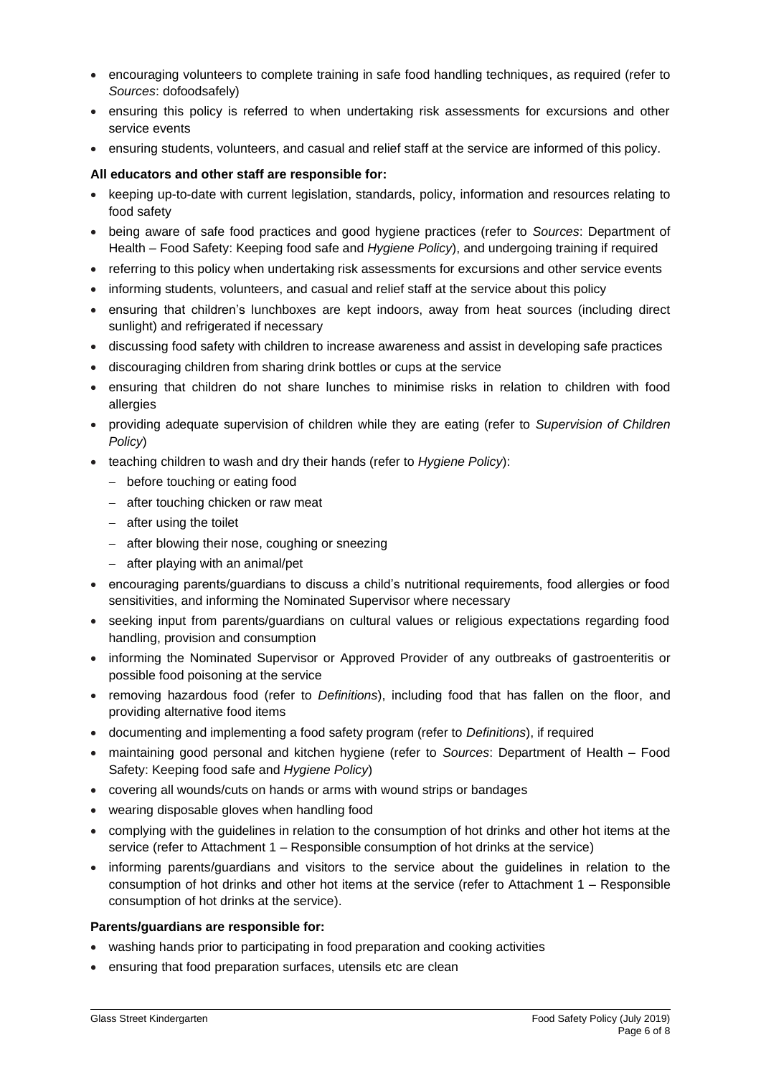- encouraging volunteers to complete training in safe food handling techniques, as required (refer to *Sources*: dofoodsafely)
- ensuring this policy is referred to when undertaking risk assessments for excursions and other service events
- ensuring students, volunteers, and casual and relief staff at the service are informed of this policy.

### **All educators and other staff are responsible for:**

- keeping up-to-date with current legislation, standards, policy, information and resources relating to food safety
- being aware of safe food practices and good hygiene practices (refer to *Sources*: Department of Health – Food Safety: Keeping food safe and *Hygiene Policy*), and undergoing training if required
- referring to this policy when undertaking risk assessments for excursions and other service events
- informing students, volunteers, and casual and relief staff at the service about this policy
- ensuring that children's lunchboxes are kept indoors, away from heat sources (including direct sunlight) and refrigerated if necessary
- discussing food safety with children to increase awareness and assist in developing safe practices
- discouraging children from sharing drink bottles or cups at the service
- ensuring that children do not share lunches to minimise risks in relation to children with food allergies
- providing adequate supervision of children while they are eating (refer to *Supervision of Children Policy*)
- teaching children to wash and dry their hands (refer to *Hygiene Policy*):
	- − before touching or eating food
	- − after touching chicken or raw meat
	- − after using the toilet
	- − after blowing their nose, coughing or sneezing
	- − after playing with an animal/pet
- encouraging parents/guardians to discuss a child's nutritional requirements, food allergies or food sensitivities, and informing the Nominated Supervisor where necessary
- seeking input from parents/guardians on cultural values or religious expectations regarding food handling, provision and consumption
- informing the Nominated Supervisor or Approved Provider of any outbreaks of gastroenteritis or possible food poisoning at the service
- removing hazardous food (refer to *Definitions*), including food that has fallen on the floor, and providing alternative food items
- documenting and implementing a food safety program (refer to *Definitions*), if required
- maintaining good personal and kitchen hygiene (refer to *Sources*: Department of Health Food Safety: Keeping food safe and *Hygiene Policy*)
- covering all wounds/cuts on hands or arms with wound strips or bandages
- wearing disposable gloves when handling food
- complying with the guidelines in relation to the consumption of hot drinks and other hot items at the service (refer to Attachment 1 – Responsible consumption of hot drinks at the service)
- informing parents/guardians and visitors to the service about the guidelines in relation to the consumption of hot drinks and other hot items at the service (refer to Attachment 1 – Responsible consumption of hot drinks at the service).

#### **Parents/guardians are responsible for:**

- washing hands prior to participating in food preparation and cooking activities
- ensuring that food preparation surfaces, utensils etc are clean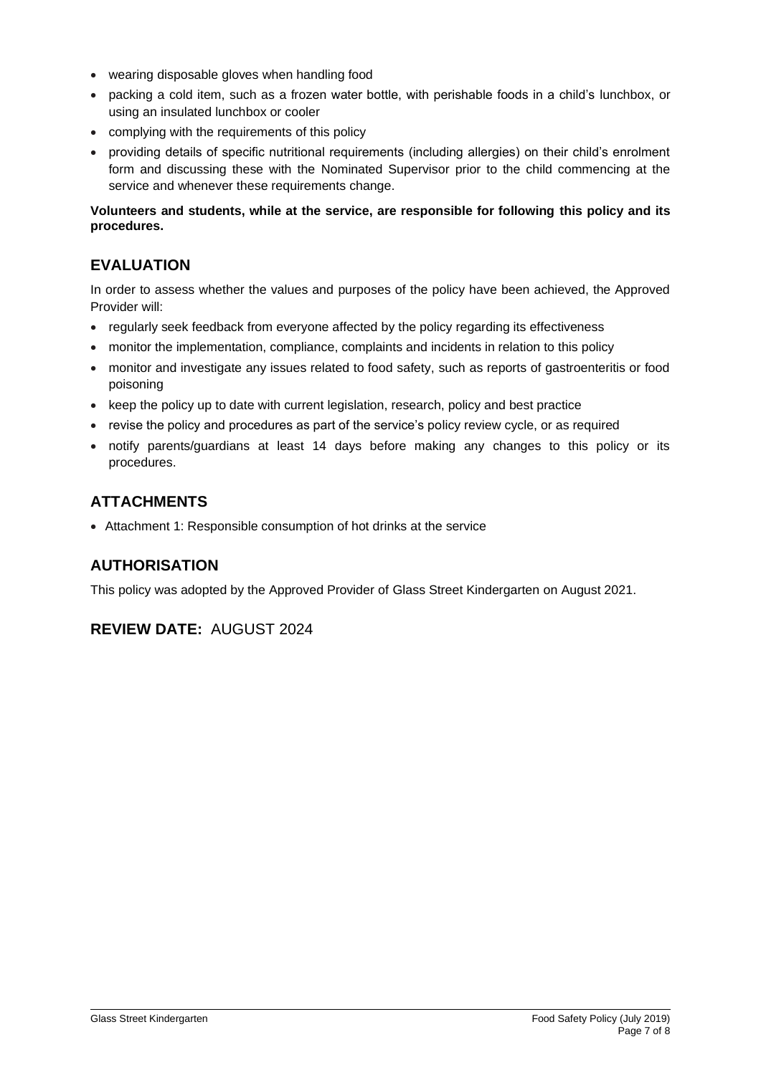- wearing disposable gloves when handling food
- packing a cold item, such as a frozen water bottle, with perishable foods in a child's lunchbox, or using an insulated lunchbox or cooler
- complying with the requirements of this policy
- providing details of specific nutritional requirements (including allergies) on their child's enrolment form and discussing these with the Nominated Supervisor prior to the child commencing at the service and whenever these requirements change.

### **Volunteers and students, while at the service, are responsible for following this policy and its procedures.**

## **EVALUATION**

In order to assess whether the values and purposes of the policy have been achieved, the Approved Provider will:

- regularly seek feedback from everyone affected by the policy regarding its effectiveness
- monitor the implementation, compliance, complaints and incidents in relation to this policy
- monitor and investigate any issues related to food safety, such as reports of gastroenteritis or food poisoning
- keep the policy up to date with current legislation, research, policy and best practice
- revise the policy and procedures as part of the service's policy review cycle, or as required
- notify parents/guardians at least 14 days before making any changes to this policy or its procedures.

## **ATTACHMENTS**

• Attachment 1: Responsible consumption of hot drinks at the service

## **AUTHORISATION**

This policy was adopted by the Approved Provider of Glass Street Kindergarten on August 2021.

## **REVIEW DATE:** AUGUST 2024